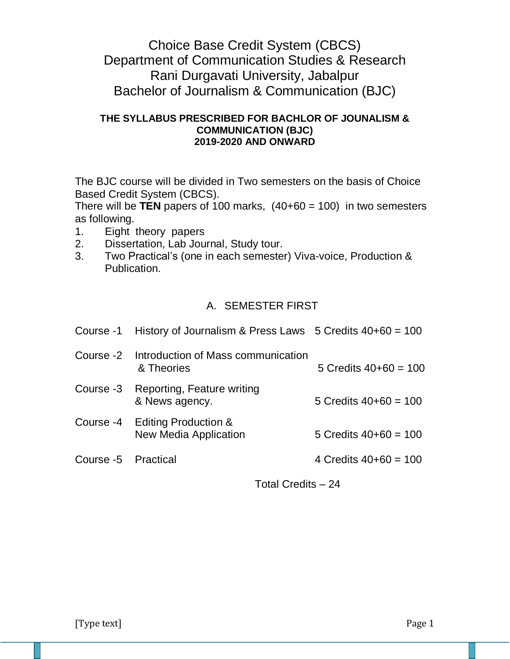# Choice Base Credit System (CBCS) Department of Communication Studies & Research Rani Durgavati University, Jabalpur Bachelor of Journalism & Communication (BJC)

### **THE SYLLABUS PRESCRIBED FOR BACHLOR OF JOUNALISM & COMMUNICATION (BJC) 2019-2020 AND ONWARD**

The BJC course will be divided in Two semesters on the basis of Choice Based Credit System (CBCS).

There will be **TEN** papers of 100 marks,  $(40+60 = 100)$  in two semesters as following.

- 1. Eight theory papers
- 2. Dissertation, Lab Journal, Study tour.
- 3. Two Practical's (one in each semester) Viva-voice, Production & Publication.

## A. SEMESTER FIRST

|                     | Course -1 History of Journalism & Press Laws $5$ Credits $40+60 = 100$ |                         |
|---------------------|------------------------------------------------------------------------|-------------------------|
|                     | Course -2 Introduction of Mass communication<br>& Theories             | 5 Credits $40+60 = 100$ |
| Course -3           | Reporting, Feature writing<br>& News agency.                           | 5 Credits $40+60 = 100$ |
|                     | Course -4 Editing Production &<br><b>New Media Application</b>         | 5 Credits $40+60 = 100$ |
| Course -5 Practical |                                                                        | 4 Credits $40+60 = 100$ |

Total Credits – 24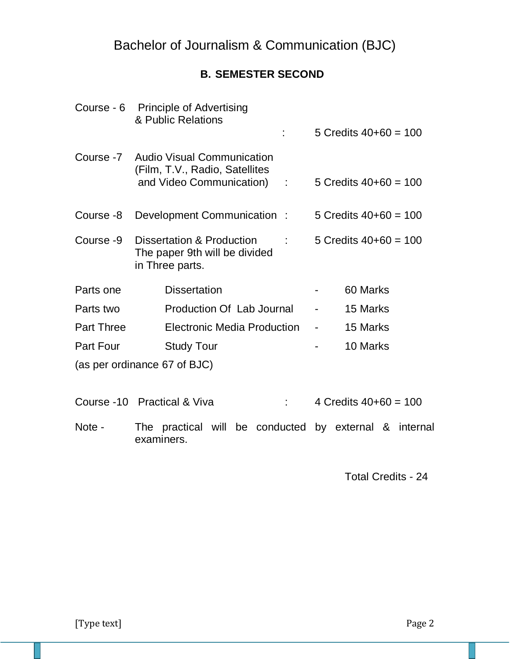# **B. SEMESTER SECOND**

|                   | Course - 6 Principle of Advertising<br>& Public Relations                                            | 5 Credits $40+60 = 100$    |
|-------------------|------------------------------------------------------------------------------------------------------|----------------------------|
|                   | Course -7 Audio Visual Communication<br>(Film, T.V., Radio, Satellites<br>and Video Communication) : | 5 Credits $40+60 = 100$    |
| Course -8         | Development Communication:                                                                           | 5 Credits $40+60 = 100$    |
| Course -9         | Dissertation & Production<br>The paper 9th will be divided<br>in Three parts.                        | 5 Credits $40+60 = 100$    |
| Parts one         | <b>Dissertation</b>                                                                                  | 60 Marks                   |
| Parts two         | Production Of Lab Journal                                                                            | 15 Marks<br>$\blacksquare$ |
| <b>Part Three</b> | Electronic Media Production                                                                          | 15 Marks                   |
| Part Four         | <b>Study Tour</b>                                                                                    | 10 Marks                   |
|                   | (as per ordinance 67 of BJC)                                                                         |                            |
|                   | Course -10 Practical & Viva                                                                          | 4 Credits $40+60 = 100$    |

Note - The practical will be conducted by external & internal examiners.

Total Credits - 24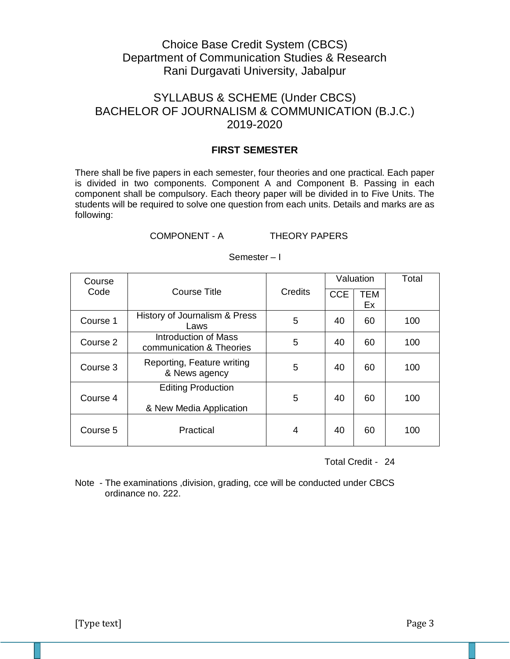## Choice Base Credit System (CBCS) Department of Communication Studies & Research Rani Durgavati University, Jabalpur

## SYLLABUS & SCHEME (Under CBCS) BACHELOR OF JOURNALISM & COMMUNICATION (B.J.C.) 2019-2020

### **FIRST SEMESTER**

There shall be five papers in each semester, four theories and one practical. Each paper is divided in two components. Component A and Component B. Passing in each component shall be compulsory. Each theory paper will be divided in to Five Units. The students will be required to solve one question from each units. Details and marks are as following:

### COMPONENT - A THEORY PAPERS

| Course   |                                                      |                |            | Valuation        | Total |
|----------|------------------------------------------------------|----------------|------------|------------------|-------|
| Code     | <b>Course Title</b>                                  | <b>Credits</b> | <b>CCE</b> | <b>TEM</b><br>Ex |       |
| Course 1 | History of Journalism & Press<br>Laws                | 5              | 40         | 60               | 100   |
| Course 2 | Introduction of Mass<br>communication & Theories     | 5              | 40         | 60               | 100   |
| Course 3 | Reporting, Feature writing<br>& News agency          | 5              | 40         | 60               | 100   |
| Course 4 | <b>Editing Production</b><br>& New Media Application | 5              | 40         | 60               | 100   |
| Course 5 | Practical                                            | 4              | 40         | 60               | 100   |

### Semester – I

Total Credit - 24

Note - The examinations ,division, grading, cce will be conducted under CBCS ordinance no. 222.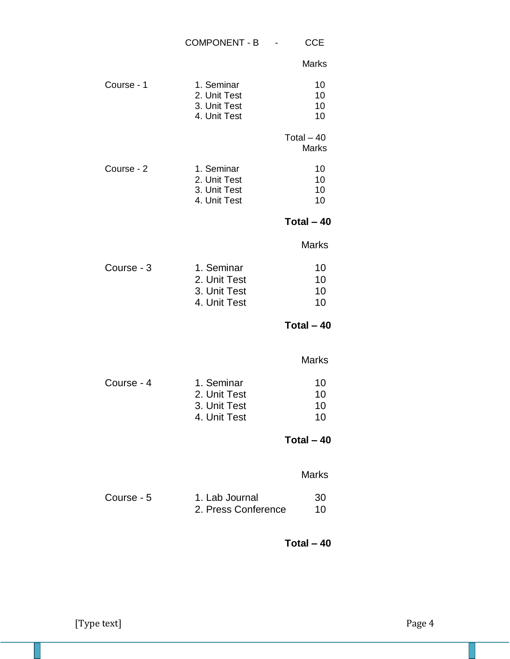|            | COMPONENT - B -                                            | <b>CCE</b>                  |
|------------|------------------------------------------------------------|-----------------------------|
|            |                                                            | <b>Marks</b>                |
| Course - 1 | 1. Seminar<br>2. Unit Test<br>3. Unit Test<br>4. Unit Test | 10<br>10<br>10<br>10        |
|            |                                                            | Total $-40$<br><b>Marks</b> |
| Course - 2 | 1. Seminar<br>2. Unit Test<br>3. Unit Test<br>4. Unit Test | 10<br>10<br>10<br>10        |
|            |                                                            | Total $-40$                 |
|            |                                                            | <b>Marks</b>                |
| Course - 3 | 1. Seminar<br>2. Unit Test<br>3. Unit Test<br>4. Unit Test | 10<br>10<br>10<br>10        |
|            |                                                            | Total $-40$                 |
|            |                                                            | <b>Marks</b>                |
| Course - 4 | 1. Seminar<br>2. Unit Test<br>3. Unit Test<br>4. Unit Test | 10<br>10<br>10<br>10        |
|            |                                                            | Total $-40$                 |
|            |                                                            | <b>Marks</b>                |
| Course - 5 | 1. Lab Journal<br>2. Press Conference                      | 30<br>10                    |
|            |                                                            | Total $-40$                 |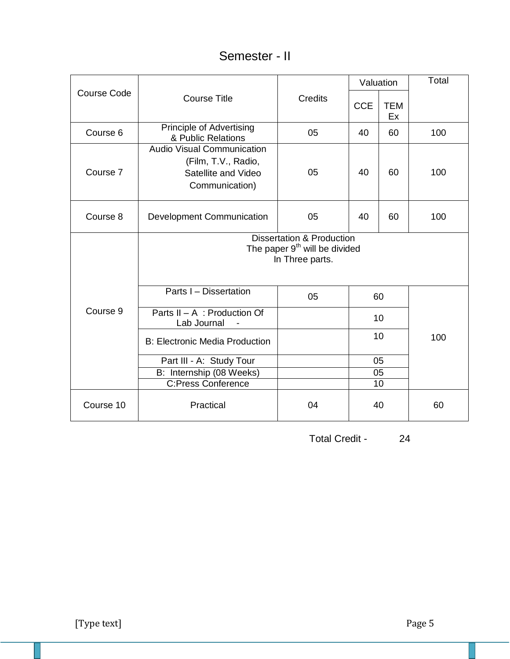# Semester - II

|                    |                                                                                                      |         | Valuation  |                  | Total |
|--------------------|------------------------------------------------------------------------------------------------------|---------|------------|------------------|-------|
| <b>Course Code</b> | <b>Course Title</b>                                                                                  | Credits | <b>CCE</b> | <b>TEM</b><br>Ex |       |
| Course 6           | <b>Principle of Advertising</b><br>& Public Relations                                                | 05      | 40         | 60               | 100   |
| Course 7           | <b>Audio Visual Communication</b><br>(Film, T.V., Radio,<br>Satellite and Video<br>Communication)    | 05      | 40         | 60               | 100   |
| Course 8           | Development Communication                                                                            | 05      | 40         | 60               | 100   |
|                    | <b>Dissertation &amp; Production</b><br>The paper 9 <sup>th</sup> will be divided<br>In Three parts. |         |            |                  |       |
|                    | Parts I - Dissertation                                                                               | 05      |            | 60               |       |
| Course 9           | Parts II - A : Production Of<br>Lab Journal                                                          |         |            | 10               |       |
|                    | <b>B: Electronic Media Production</b>                                                                |         |            | 10               | 100   |
|                    | Part III - A: Study Tour                                                                             |         |            | 05               |       |
|                    | B: Internship (08 Weeks)                                                                             |         |            | 05               |       |
|                    | <b>C:Press Conference</b>                                                                            |         |            | 10               |       |
| Course 10          | Practical                                                                                            | 04      |            | 40               | 60    |

Total Credit - 24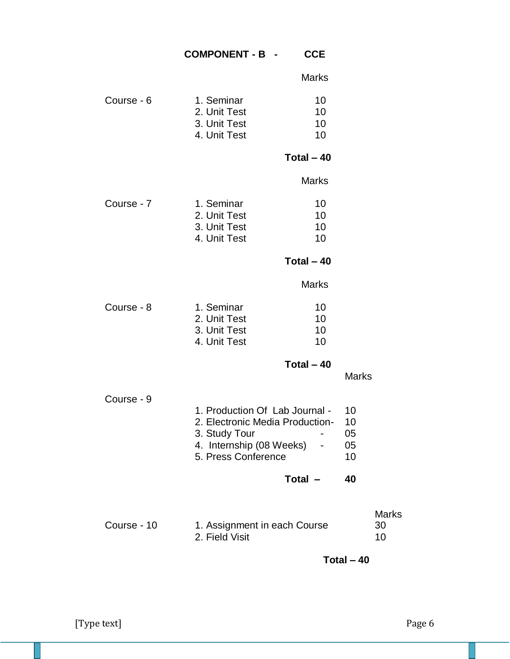## **COMPONENT - B - CCE**

| 1. Seminar   | 10. |
|--------------|-----|
| 2. Unit Test | 10. |
| 3. Unit Test | 10. |
| 4. Unit Test | 10. |
|              |     |

## **Total – 40**

Marks

| Course - 7 | 1. Seminar   | 10 |
|------------|--------------|----|
|            | 2. Unit Test | 10 |
|            | 3. Unit Test | 10 |
|            | 4. Unit Test | 10 |

**Total – 40**

Marks

| 10 |
|----|
| 10 |
| 10 |
| 10 |
|    |

**Total – 40**

Marks

Course - 9

| 1. Production Of Lab Journal -  |                |  |
|---------------------------------|----------------|--|
| 2. Electronic Media Production- |                |  |
| 3. Study Tour                   | 05             |  |
| 4. Internship (08 Weeks)        | 05             |  |
| 5. Press Conference             | 1 <sub>0</sub> |  |

**Total – 40**

|             |                              | <b>Marks</b> |
|-------------|------------------------------|--------------|
| Course - 10 | 1. Assignment in each Course | -30          |
|             | 2. Field Visit               | 10           |

**Total – 40**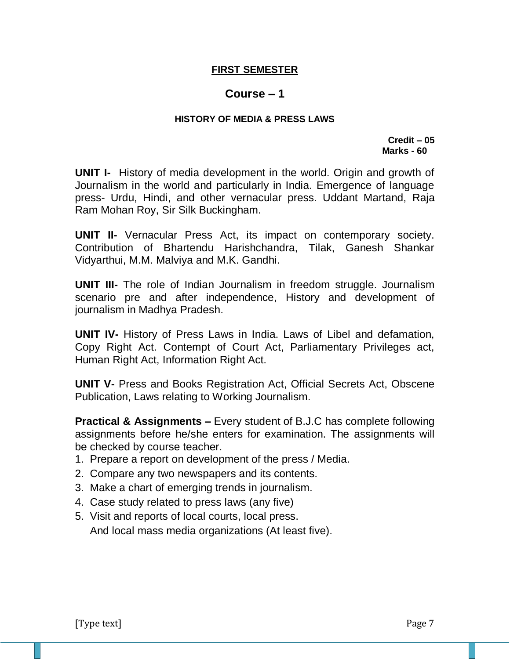## **FIRST SEMESTER**

## **Course – 1**

### **HISTORY OF MEDIA & PRESS LAWS**

 **Credit – 05 Marks - 60**

**UNIT I-** History of media development in the world. Origin and growth of Journalism in the world and particularly in India. Emergence of language press- Urdu, Hindi, and other vernacular press. Uddant Martand, Raja Ram Mohan Roy, Sir Silk Buckingham.

**UNIT II-** Vernacular Press Act, its impact on contemporary society. Contribution of Bhartendu Harishchandra, Tilak, Ganesh Shankar Vidyarthui, M.M. Malviya and M.K. Gandhi.

**UNIT III-** The role of Indian Journalism in freedom struggle. Journalism scenario pre and after independence, History and development of journalism in Madhya Pradesh.

**UNIT IV-** History of Press Laws in India. Laws of Libel and defamation, Copy Right Act. Contempt of Court Act, Parliamentary Privileges act, Human Right Act, Information Right Act.

**UNIT V-** Press and Books Registration Act, Official Secrets Act, Obscene Publication, Laws relating to Working Journalism.

**Practical & Assignments –** Every student of B.J.C has complete following assignments before he/she enters for examination. The assignments will be checked by course teacher.

- 1. Prepare a report on development of the press / Media.
- 2. Compare any two newspapers and its contents.
- 3. Make a chart of emerging trends in journalism.
- 4. Case study related to press laws (any five)
- 5. Visit and reports of local courts, local press. And local mass media organizations (At least five).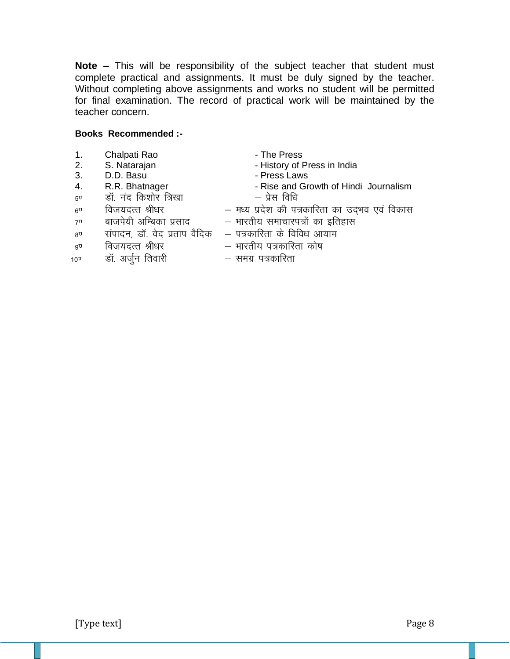**Note –** This will be responsibility of the subject teacher that student must complete practical and assignments. It must be duly signed by the teacher. Without completing above assignments and works no student will be permitted for final examination. The record of practical work will be maintained by the teacher concern.

### **Books Recommended :-**

- 1. Chalpati Rao  **The Press**
- 
- 3. D.D. Basu Press Laws
- 
- <sub>5ण</sub> बॉ. नंद किशोर त्रिखा प्रेस विधि
- 
- 
- 2. S. Natarajan History of Press in India<br>3. D.D. Basu The Stepse Laws
	-
- 4. R.R. Bhatnager  **Rise and Growth of Hindi Journalism** 
	-
- 6. fot;nRr Jh/kj & e/; i zn s'k dh i=dkfjrk dk mn ~Hko ,o a fodkl
- 7ण बाजपेयी अम्बिका प्रसाद भारतीय समाचारपत्रों का इतिहास
	-
- $8^{\texttt{U}}$  संपादन, डॉ. वेद प्रताप वैदिक क पत्रकारिता के विविध आयाम
- 
- 
- 9. fot;nRr Jh/kj & Hkkjrh; i=dkfjrk dk s"k 10<sup>0</sup> बॉ. अर्जन तिवारी समग्र पत्रकारिता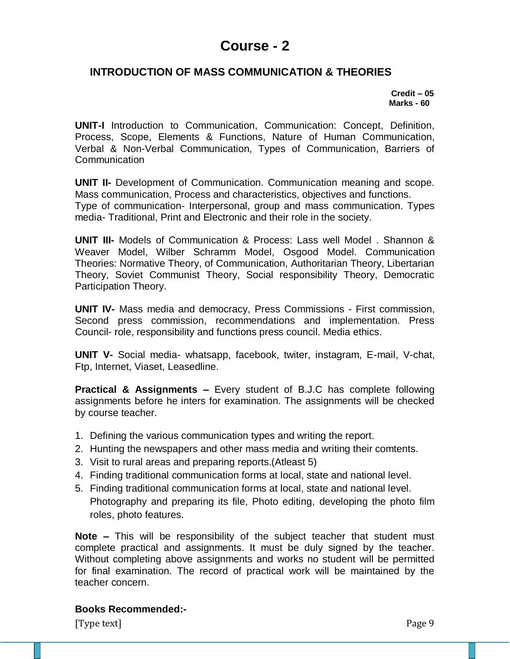## **INTRODUCTION OF MASS COMMUNICATION & THEORIES**

 **Credit – 05 Marks - 60**

**UNIT-I** Introduction to Communication, Communication: Concept, Definition, Process, Scope, Elements & Functions, Nature of Human Communication, Verbal & Non-Verbal Communication, Types of Communication, Barriers of **Communication** 

**UNIT II-** Development of Communication. Communication meaning and scope. Mass communication, Process and characteristics, objectives and functions. Type of communication- Interpersonal, group and mass communication. Types media- Traditional, Print and Electronic and their role in the society.

**UNIT III-** Models of Communication & Process: Lass well Model . Shannon & Weaver Model, Wilber Schramm Model, Osgood Model. Communication Theories: Normative Theory, of Communication, Authoritarian Theory, Libertarian Theory, Soviet Communist Theory, Social responsibility Theory, Democratic Participation Theory.

**UNIT IV-** Mass media and democracy, Press Commissions - First commission, Second press commission, recommendations and implementation. Press Council- role, responsibility and functions press council. Media ethics.

**UNIT V-** Social media- whatsapp, facebook, twiter, instagram, E-mail, V-chat, Ftp, Internet, Viaset, Leasedline.

**Practical & Assignments –** Every student of B.J.C has complete following assignments before he inters for examination. The assignments will be checked by course teacher.

- 1. Defining the various communication types and writing the report.
- 2. Hunting the newspapers and other mass media and writing their comtents.
- 3. Visit to rural areas and preparing reports.(Atleast 5)
- 4. Finding traditional communication forms at local, state and national level.
- 5. Finding traditional communication forms at local, state and national level. Photography and preparing its file, Photo editing, developing the photo film roles, photo features.

**Note –** This will be responsibility of the subject teacher that student must complete practical and assignments. It must be duly signed by the teacher. Without completing above assignments and works no student will be permitted for final examination. The record of practical work will be maintained by the teacher concern.

## **Books Recommended:-**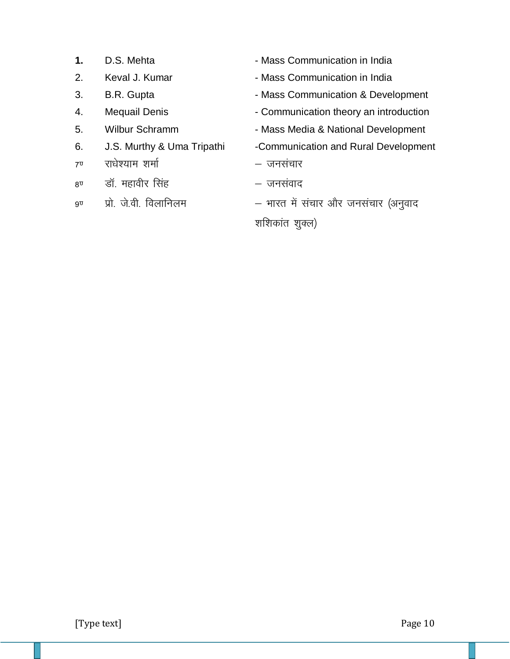- 
- 
- 
- 
- 
- 
- $7^{\circ}$  राधेश्याम शर्मा 'kek 'kek 'kek 'kek 'kek Yarati 'kek 'kek Yarati 'kek 'kek 'kek 'kek 'kek 'kek 'kek 'k
- $8^{\overline{0}}$  बॉ. महावीर सिंह  $-$  जनसंवाद
- 
- **1.** D.S. Mehta  **Mass Communication in India**
- 2. Keval J. Kumar  **Mass Communication in India**
- 3. B.R. Gupta  **Mass Communication & Development**
- 4. Mequail Denis Communication theory an introduction
- 5. Wilbur Schramm Mass Media & National Development
- 6. J.S. Murthy & Uma Tripathi -Communication and Rural Development
	-
	-
- 9<sup>0</sup> प्रो. जे.वी. विलानिलम भारत में संचार और जनसंचार (अनुवाद

शशिकांत शुक्ल)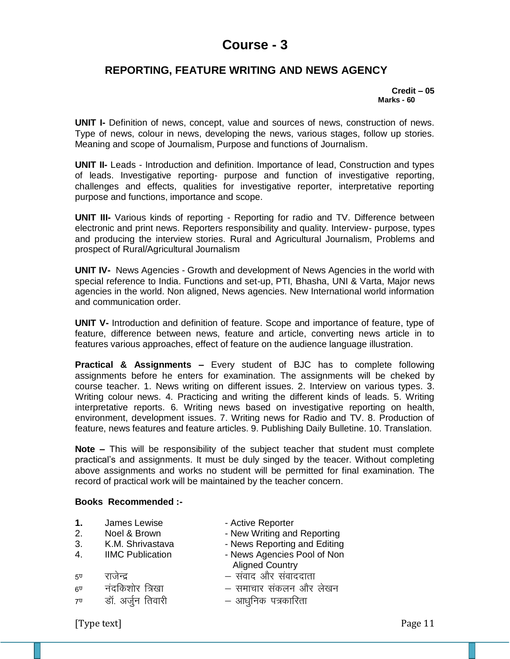## **REPORTING, FEATURE WRITING AND NEWS AGENCY**

#### **Credit – 05 Marks - 60**

**UNIT I-** Definition of news, concept, value and sources of news, construction of news. Type of news, colour in news, developing the news, various stages, follow up stories. Meaning and scope of Journalism, Purpose and functions of Journalism.

**UNIT II-** Leads - Introduction and definition. Importance of lead, Construction and types of leads. Investigative reporting- purpose and function of investigative reporting, challenges and effects, qualities for investigative reporter, interpretative reporting purpose and functions, importance and scope.

**UNIT III-** Various kinds of reporting - Reporting for radio and TV. Difference between electronic and print news. Reporters responsibility and quality. Interview- purpose, types and producing the interview stories. Rural and Agricultural Journalism, Problems and prospect of Rural/Agricultural Journalism

**UNIT IV-** News Agencies - Growth and development of News Agencies in the world with special reference to India. Functions and set-up, PTI, Bhasha, UNI & Varta, Major news agencies in the world. Non aligned, News agencies. New International world information and communication order.

**UNIT V-** Introduction and definition of feature. Scope and importance of feature, type of feature, difference between news, feature and article, converting news article in to features various approaches, effect of feature on the audience language illustration.

**Practical & Assignments –** Every student of BJC has to complete following assignments before he enters for examination. The assignments will be cheked by course teacher. 1. News writing on different issues. 2. Interview on various types. 3. Writing colour news. 4. Practicing and writing the different kinds of leads. 5. Writing interpretative reports. 6. Writing news based on investigative reporting on health, environment, development issues. 7. Writing news for Radio and TV. 8. Production of feature, news features and feature articles. 9. Publishing Daily Bulletine. 10. Translation.

**Note –** This will be responsibility of the subject teacher that student must complete practical's and assignments. It must be duly singed by the teacer. Without completing above assignments and works no student will be permitted for final examination. The record of practical work will be maintained by the teacher concern.

### **Books Recommended :-**

- 1. James Lewise  **Active Reporter**
- 2. Noel & Brown New Writing and Reporting
- 3. K.M. Shrivastava News Reporting and Editing
- 
- 
- 
- 4. IIMC Publication  **News Agencies Pool of Non** Aligned Country
- 5. jktsUn z & laokn vk Sj laoknnkrk
- 6. u anfd'kksj f=[kk & lekpkj ladyu vk Sj ys[ku
- 7. MkW- vtqZu frokjh & vk/kqfud i=dkfjrk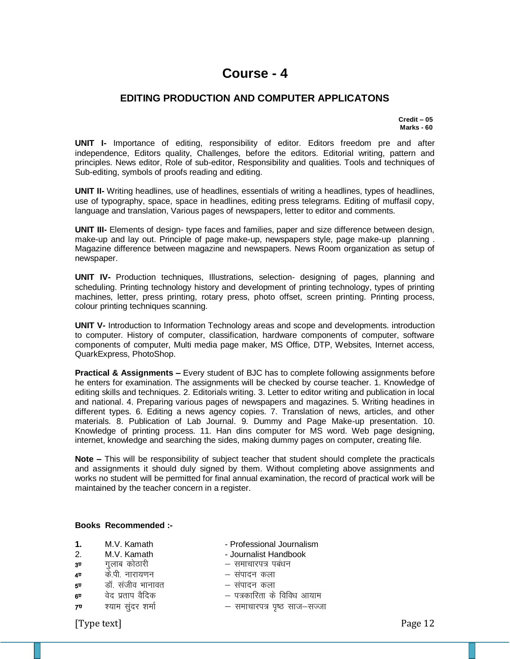### **EDITING PRODUCTION AND COMPUTER APPLICATONS**

 **Credit – 05 Marks - 60**

**UNIT I-** Importance of editing, responsibility of editor. Editors freedom pre and after independence, Editors quality, Challenges, before the editors. Editorial writing, pattern and principles. News editor, Role of sub-editor, Responsibility and qualities. Tools and techniques of Sub-editing, symbols of proofs reading and editing.

**UNIT II-** Writing headlines, use of headlines, essentials of writing a headlines, types of headlines, use of typography, space, space in headlines, editing press telegrams. Editing of muffasil copy, language and translation, Various pages of newspapers, letter to editor and comments.

**UNIT III-** Elements of design- type faces and families, paper and size difference between design, make-up and lay out. Principle of page make-up, newspapers style, page make-up planning . Magazine difference between magazine and newspapers. News Room organization as setup of newspaper.

**UNIT IV-** Production techniques, Illustrations, selection- designing of pages, planning and scheduling. Printing technology history and development of printing technology, types of printing machines, letter, press printing, rotary press, photo offset, screen printing. Printing process, colour printing techniques scanning.

**UNIT V-** Introduction to Information Technology areas and scope and developments. introduction to computer. History of computer, classification, hardware components of computer, software components of computer, Multi media page maker, MS Office, DTP, Websites, Internet access, QuarkExpress, PhotoShop.

**Practical & Assignments –** Every student of BJC has to complete following assignments before he enters for examination. The assignments will be checked by course teacher. 1. Knowledge of editing skills and techniques. 2. Editorials writing. 3. Letter to editor writing and publication in local and national. 4. Preparing various pages of newspapers and magazines. 5. Writing headines in different types. 6. Editing a news agency copies. 7. Translation of news, articles, and other materials. 8. Publication of Lab Journal. 9. Dummy and Page Make-up presentation. 10. Knowledge of printing process. 11. Han dins computer for MS word. Web page designing, internet, knowledge and searching the sides, making dummy pages on computer, creating file.

**Note –** This will be responsibility of subject teacher that student should complete the practicals and assignments it should duly signed by them. Without completing above assignments and works no student will be permitted for final annual examination, the record of practical work will be maintained by the teacher concern in a register.

#### **Books Recommended :-**

- **1.** M.V. Kamath  **Professional Journalism**
- 2. M.V. Kamath Journalist Handbook
- 3**<sup>0</sup> -** रालाब कोठारी बाहिल कोठारी समाचारपत्र पबंधन
- 4. d s-ih- ukjk;.ku & laiknu dyk
- 5. MkW- latho Hkkukor & laiknu dyk
- 
- 
- 
- 
- 
- 
- -
- $\begin{array}{ccc} 6^\text{u} & & \text{if } \hat{a} \neq 0 \end{array}$ क्षिण where  $\begin{array}{ccc} & \text{if } \hat{a} & \text{if } \hat{a} \neq 0 \end{array}$
- 7. ';ke lqanj 'kekZ & lekpkji= i`"B lkt&lTtk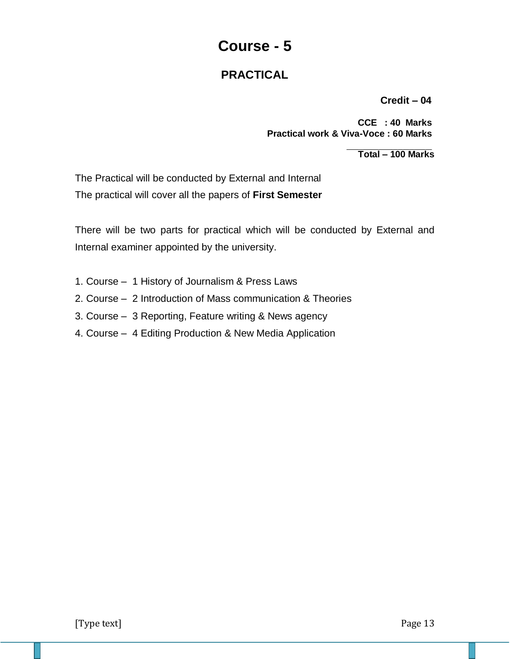# **PRACTICAL**

**Credit – 04**

 **CCE : 40 Marks Practical work & Viva-Voce : 60 Marks**

 **Total – 100 Marks**

The Practical will be conducted by External and Internal The practical will cover all the papers of **First Semester**

There will be two parts for practical which will be conducted by External and Internal examiner appointed by the university.

- 1. Course 1 History of Journalism & Press Laws
- 2. Course 2 Introduction of Mass communication & Theories
- 3. Course 3 Reporting, Feature writing & News agency
- 4. Course 4 Editing Production & New Media Application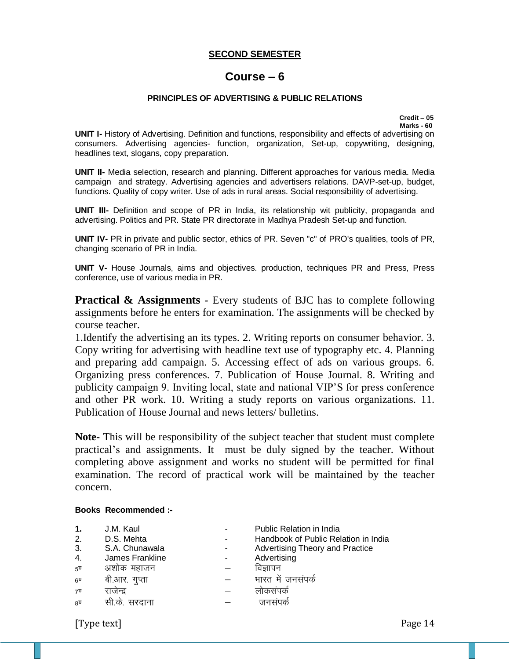### **SECOND SEMESTER**

## **Course – 6**

### **PRINCIPLES OF ADVERTISING & PUBLIC RELATIONS**

 **Credit – 05 Marks - 60**

**UNIT I-** History of Advertising. Definition and functions, responsibility and effects of advertising on consumers. Advertising agencies- function, organization, Set-up, copywriting, designing, headlines text, slogans, copy preparation.

**UNIT II-** Media selection, research and planning. Different approaches for various media. Media campaign and strategy. Advertising agencies and advertisers relations. DAVP-set-up, budget, functions. Quality of copy writer. Use of ads in rural areas. Social responsibility of advertising.

**UNIT III-** Definition and scope of PR in India, its relationship wit publicity, propaganda and advertising. Politics and PR. State PR directorate in Madhya Pradesh Set-up and function.

**UNIT IV-** PR in private and public sector, ethics of PR. Seven "c" of PRO's qualities, tools of PR, changing scenario of PR in India.

**UNIT V-** House Journals, aims and objectives. production, techniques PR and Press, Press conference, use of various media in PR.

**Practical & Assignments** - Every students of BJC has to complete following assignments before he enters for examination. The assignments will be checked by course teacher.

1.Identify the advertising an its types. 2. Writing reports on consumer behavior. 3. Copy writing for advertising with headline text use of typography etc. 4. Planning and preparing add campaign. 5. Accessing effect of ads on various groups. 6. Organizing press conferences. 7. Publication of House Journal. 8. Writing and publicity campaign 9. Inviting local, state and national VIP'S for press conference and other PR work. 10. Writing a study reports on various organizations. 11. Publication of House Journal and news letters/ bulletins.

**Note-** This will be responsibility of the subject teacher that student must complete practical's and assignments. It must be duly signed by the teacher. Without completing above assignment and works no student will be permitted for final examination. The record of practical work will be maintained by the teacher concern.

#### **Books Recommended :-**

| 1.<br>2.<br>3.<br>4.<br>$5^{\overline{U}}$ | J.M. Kaul<br>D.S. Mehta<br>S.A. Chunawala<br>James Frankline<br>अशोक महाजन | Public Relation in India<br>Handbook of Public Relation in India<br>Advertising Theory and Practice<br>Advertising<br>विज्ञापन |
|--------------------------------------------|----------------------------------------------------------------------------|--------------------------------------------------------------------------------------------------------------------------------|
| $6^{\overline{U}}$                         | बी.आर. गुप्ता                                                              | भारत में जनसंपर्क                                                                                                              |
| 7 <sup>T</sup>                             | राजन्द                                                                     | लाकसपक                                                                                                                         |
| 8 <sup>T</sup>                             |                                                                            |                                                                                                                                |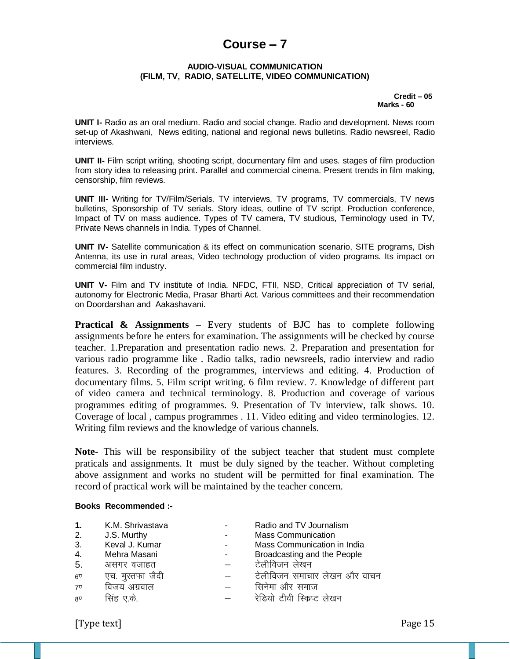# **Course – 7**

#### **AUDIO-VISUAL COMMUNICATION (FILM, TV, RADIO, SATELLITE, VIDEO COMMUNICATION)**

 **Credit – 05 Marks - 60**

**UNIT I-** Radio as an oral medium. Radio and social change. Radio and development. News room set-up of Akashwani, News editing, national and regional news bulletins. Radio newsreel, Radio interviews.

**UNIT II-** Film script writing, shooting script, documentary film and uses. stages of film production from story idea to releasing print. Parallel and commercial cinema. Present trends in film making, censorship, film reviews.

**UNIT III-** Writing for TV/Film/Serials. TV interviews, TV programs, TV commercials, TV news bulletins, Sponsorship of TV serials. Story ideas, outline of TV script. Production conference, Impact of TV on mass audience. Types of TV camera, TV studious, Terminology used in TV, Private News channels in India. Types of Channel.

**UNIT IV-** Satellite communication & its effect on communication scenario, SITE programs, Dish Antenna, its use in rural areas, Video technology production of video programs. Its impact on commercial film industry.

**UNIT V-** Film and TV institute of India. NFDC, FTII, NSD, Critical appreciation of TV serial, autonomy for Electronic Media, Prasar Bharti Act. Various committees and their recommendation on Doordarshan and Aakashavani.

**Practical & Assignments –** Every students of BJC has to complete following assignments before he enters for examination. The assignments will be checked by course teacher. 1.Preparation and presentation radio news. 2. Preparation and presentation for various radio programme like . Radio talks, radio newsreels, radio interview and radio features. 3. Recording of the programmes, interviews and editing. 4. Production of documentary films. 5. Film script writing. 6 film review. 7. Knowledge of different part of video camera and technical terminology. 8. Production and coverage of various programmes editing of programmes. 9. Presentation of Tv interview, talk shows. 10. Coverage of local , campus programmes . 11. Video editing and video terminologies. 12. Writing film reviews and the knowledge of various channels.

**Note-** This will be responsibility of the subject teacher that student must complete praticals and assignments. It must be duly signed by the teacher. Without completing above assignment and works no student will be permitted for final examination. The record of practical work will be maintained by the teacher concern.

#### **Books Recommended :-**

| 1.              | K.M. Shrivastava | Radio and TV Journalism      |
|-----------------|------------------|------------------------------|
| 2.              | J.S. Murthy      | <b>Mass Communication</b>    |
| 3.              | Keval J. Kumar   | Mass Communication in India  |
| 4.              | Mehra Masani     | Broadcasting and the People  |
| 5.              | असगर वजाहत       | टेलीविजन लेखन                |
| $6\overline{0}$ | एच. मुस्तफा जैदी | टेलीविजन समाचार लेखन और वाचन |
| 7 <sup>U</sup>  | विजय अग्रवाल     | सिनेमा और समाज               |
| 8 <sup>T</sup>  | सिंह ए.के.       | रेडियो टीवी रिकप्ट<br>लेखन   |
|                 |                  |                              |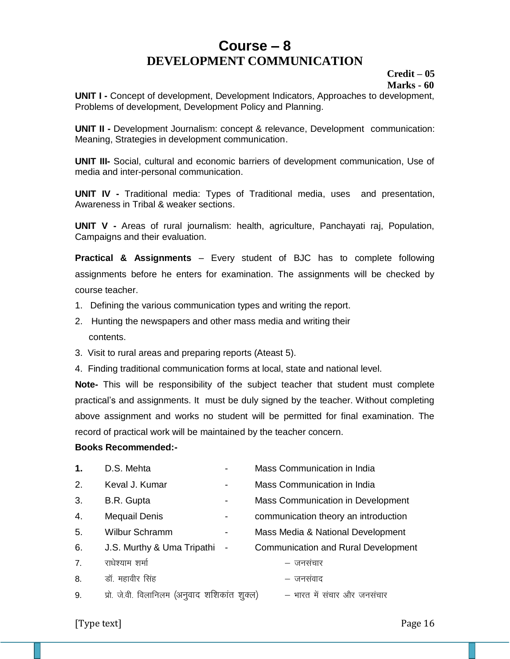# **Course – 8 DEVELOPMENT COMMUNICATION**

### **Credit – 05 Marks - 60**

**UNIT I -** Concept of development, Development Indicators, Approaches to development, Problems of development, Development Policy and Planning.

**UNIT II -** Development Journalism: concept & relevance, Development communication: Meaning, Strategies in development communication.

**UNIT III-** Social, cultural and economic barriers of development communication, Use of media and inter-personal communication.

**UNIT IV -** Traditional media: Types of Traditional media, uses and presentation, Awareness in Tribal & weaker sections.

**UNIT V -** Areas of rural journalism: health, agriculture, Panchayati raj, Population, Campaigns and their evaluation.

**Practical & Assignments** – Every student of BJC has to complete following assignments before he enters for examination. The assignments will be checked by course teacher.

- 1. Defining the various communication types and writing the report.
- 2. Hunting the newspapers and other mass media and writing their contents.
- 3. Visit to rural areas and preparing reports (Ateast 5).
- 4. Finding traditional communication forms at local, state and national level.

**Note-** This will be responsibility of the subject teacher that student must complete practical's and assignments. It must be duly signed by the teacher. Without completing above assignment and works no student will be permitted for final examination. The record of practical work will be maintained by the teacher concern.

### **Books Recommended:-**

| 1. | D.S. Mehta                                   | Mass Communication in India                |
|----|----------------------------------------------|--------------------------------------------|
| 2. | Keval J. Kumar                               | Mass Communication in India                |
| 3. | B.R. Gupta                                   | Mass Communication in Development          |
| 4. | Mequail Denis                                | communication theory an introduction       |
| 5. | <b>Wilbur Schramm</b>                        | Mass Media & National Development          |
| 6. | J.S. Murthy & Uma Tripathi -                 | <b>Communication and Rural Development</b> |
| 7. | राधेश्याम शर्मा                              | – जनसंचार                                  |
| 8. | डॉ. महावीर सिंह                              | – जनसंवाद                                  |
| 9. | प्रो. जे.वी. विलानिलम (अनुवाद शशिकांत शुक्ल) | – भारत में संचार और जनसंचार                |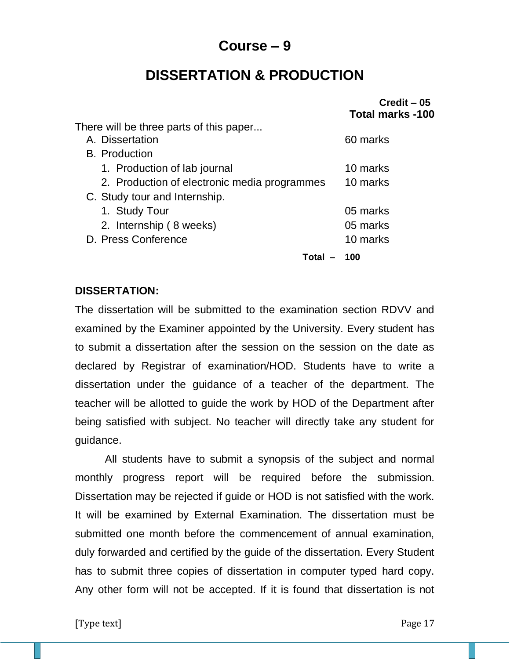# **Course – 9**

# **DISSERTATION & PRODUCTION**

|                                              | $Credit - 05$<br><b>Total marks -100</b> |
|----------------------------------------------|------------------------------------------|
| There will be three parts of this paper      |                                          |
| A. Dissertation                              | 60 marks                                 |
| <b>B.</b> Production                         |                                          |
| 1. Production of lab journal                 | 10 marks                                 |
| 2. Production of electronic media programmes | 10 marks                                 |
| C. Study tour and Internship.                |                                          |
| 1. Study Tour                                | 05 marks                                 |
| 2. Internship (8 weeks)                      | 05 marks                                 |
| D. Press Conference                          | 10 marks                                 |
| Total                                        | 100                                      |

## **DISSERTATION:**

The dissertation will be submitted to the examination section RDVV and examined by the Examiner appointed by the University. Every student has to submit a dissertation after the session on the session on the date as declared by Registrar of examination/HOD. Students have to write a dissertation under the guidance of a teacher of the department. The teacher will be allotted to guide the work by HOD of the Department after being satisfied with subject. No teacher will directly take any student for guidance.

All students have to submit a synopsis of the subject and normal monthly progress report will be required before the submission. Dissertation may be rejected if guide or HOD is not satisfied with the work. It will be examined by External Examination. The dissertation must be submitted one month before the commencement of annual examination, duly forwarded and certified by the guide of the dissertation. Every Student has to submit three copies of dissertation in computer typed hard copy. Any other form will not be accepted. If it is found that dissertation is not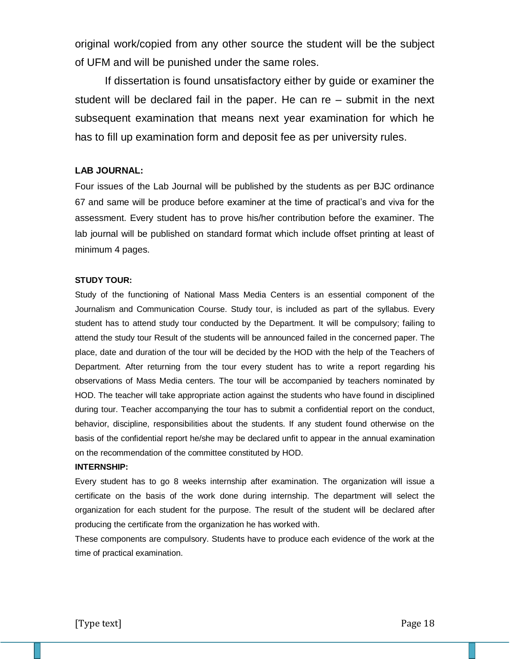original work/copied from any other source the student will be the subject of UFM and will be punished under the same roles.

If dissertation is found unsatisfactory either by guide or examiner the student will be declared fail in the paper. He can re – submit in the next subsequent examination that means next year examination for which he has to fill up examination form and deposit fee as per university rules.

### **LAB JOURNAL:**

Four issues of the Lab Journal will be published by the students as per BJC ordinance 67 and same will be produce before examiner at the time of practical's and viva for the assessment. Every student has to prove his/her contribution before the examiner. The lab journal will be published on standard format which include offset printing at least of minimum 4 pages.

### **STUDY TOUR:**

Study of the functioning of National Mass Media Centers is an essential component of the Journalism and Communication Course. Study tour, is included as part of the syllabus. Every student has to attend study tour conducted by the Department. It will be compulsory; failing to attend the study tour Result of the students will be announced failed in the concerned paper. The place, date and duration of the tour will be decided by the HOD with the help of the Teachers of Department. After returning from the tour every student has to write a report regarding his observations of Mass Media centers. The tour will be accompanied by teachers nominated by HOD. The teacher will take appropriate action against the students who have found in disciplined during tour. Teacher accompanying the tour has to submit a confidential report on the conduct, behavior, discipline, responsibilities about the students. If any student found otherwise on the basis of the confidential report he/she may be declared unfit to appear in the annual examination on the recommendation of the committee constituted by HOD.

### **INTERNSHIP:**

Every student has to go 8 weeks internship after examination. The organization will issue a certificate on the basis of the work done during internship. The department will select the organization for each student for the purpose. The result of the student will be declared after producing the certificate from the organization he has worked with.

These components are compulsory. Students have to produce each evidence of the work at the time of practical examination.